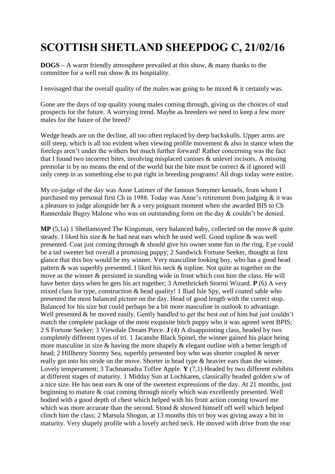## **SCOTTISH SHETLAND SHEEPDOG C, 21/02/16**

**DOGS –** A warm friendly atmosphere prevailed at this show, & many thanks to the committee for a well run show & its hospitality.

I envisaged that the overall quality of the males was going to be mixed & it certainly was.

Gone are the days of top quality young males coming through, giving us the choices of stud prospects for the future. A worrying trend. Maybe as breeders we need to keep a few more males for the future of the breed?

Wedge heads are on the decline, all too often replaced by deep backskulls. Upper arms are still steep, which is all too evident when viewing profile movement  $\&$  also in stance when the forelegs aren't under the withers but much further forward! Rather concerning was the fact that I found two incorrect bites, involving misplaced canines & unlevel incisors. A missing premolar is by no means the end of the world but the bite must be correct  $\&$  if ignored will only creep in as something else to put right in breeding programs! All dogs today were entire.

My co-judge of the day was Anne Latimer of the famous Sonymer kennels, from whom I purchased my personal first Ch in 1988. Today was Anne's retirement from judging & it was a pleasure to judge alongside her & a very poignant moment when she awarded BIS to Ch Rannerdale Bugsy Malone who was on outstanding form on the day & couldn't be denied.

**MP** (5,1a) 1 Shellamoyed The Kingsman, very balanced baby, collected on the move & quite steady. I liked his size & he had neat ears which he used well. Good topline & was well presented. Coat just coming through & should give his owner some fun in the ring. Eye could be a tad sweeter but overall a promising puppy; 2 Sandwick Fortune Seeker, thought at first glance that this boy would be my winner. Very masculine looking boy, who has a good head pattern & was superbly presented. I liked his neck & topline. Not quite as together on the move as the winner & persisted in standing wide in front which cost him the class. He will have better days when he gets his act together; 3 Amethrickeh Stormi Wizard. **P** (6) A very mixed class for type, construction & head quality! 1 Iliad Isle Spy, well coated sable who presented the most balanced picture on the day. Head of good length with the correct stop. Balanced for his size but could perhaps be a bit more masculine in outlook to advantage. Well presented  $\&$  he moved easily. Gently handled to get the best out of him but just couldn't match the complete package of the most exquisite bitch puppy who it was agreed went BPIS; 2 S Fortune Seeker; 3 Viewdale Dream Piece. **J** (4) A disappointing class, headed by two completely different types of tri. 1 Jacanshe Black Spinel, the winner gained his place being more masculine in size & having the more shapely & elegant outline with a better length of head; 2 Hillhenry Stormy Sea, superbly presented boy who was shorter coupled & never really got into his stride on the move. Shorter in head type & heavier ears than the winner. Lovely temperament; 3 Tachnamadra Toffee Apple. **Y** (7,1) Headed by two different exhibits at different stages of maturity. 1 Midday Sun at Lochkaren, classically headed golden s/w of a nice size. He has neat ears & one of the sweetest expressions of the day. At 21 months, just beginning to mature & coat coming through nicely which was excellently presented. Well bodied with a good depth of chest which helped with his front action coming toward me which was more accurate than the second. Stood & showed himself off well which helped clinch him the class; 2 Marsula Shogun, at 13 months this tri boy was giving away a bit in maturity. Very shapely profile with a lovely arched neck. He moved with drive from the rear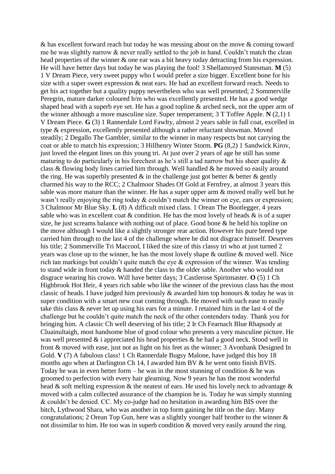& has excellent forward reach but today he was messing about on the move & coming toward me he was slightly narrow  $\&$  never really settled to the job in hand. Couldn't match the clean head properties of the winner  $\&$  one ear was a bit heavy today detracting from his expression. He will have better days but today he was playing the fool! 3 Shellamoyed Statesman. **M** (5) 1 V Dream Piece, very sweet puppy who I would prefer a size bigger. Excellent bone for his size with a super sweet expression & neat ears. He had an excellent forward reach. Needs to get his act together but a quality puppy nevertheless who was well presented; 2 Sommerville Peregrin, mature darker coloured b/m who was excellently presented. He has a good wedge shaped head with a superb eye set. He has a good topline & arched neck, not the upper arm of the winner although a more masculine size. Super temperament; 3 T Toffee Apple. **N** (2,1) 1 V Dream Piece. **G** (3) 1 Rannerdale Lord Fawlty, almost 2 years sable in full coat, excelled in type & expression, excellently presented although a rather reluctant showman. Moved steadily; 2 Degallo The Gambler, similar to the winner in many respects but not carrying the coat or able to match his expression; 3 Hillhenry Winter Storm. **PG** (8,2) 1 Sandwick Kirov, just loved the elegant lines on this young tri. At just over 2 years of age he still has some maturing to do particularly in his forechest as he's still a tad narrow but his sheer quality  $\&$ class & flowing body lines carried him through. Well handled & he moved so easily around the ring. He was superbly presented  $\&$  in the challenge just got better  $\&$  better  $\&$  gently charmed his way to the RCC; 2 Chalmoor Shades Of Gold at Fernfrey, at almost 3 years this sable was more mature than the winner. He has a super upper arm & moved really well but he wasn't really enjoying the ring today  $\&$  couldn't match the winner on eye, ears or expression; 3 Chalmoor Mr Blue Sky. **L** (8) A difficult mixed class. 1 Orean The Bootlegger, 4 years sable who was in excellent coat  $\&$  condition. He has the most lovely of heads  $\&$  is of a super size, he just screams balance with nothing out of place. Good bone & he held his topline on the move although I would like a slightly stronger rear action. However his pure breed type carried him through to the last 4 of the challenge where he did not disgrace himself. Deserves his title; 2 Sommerville Tri Maccool, I liked the size of this classy tri who at just turned 2 years was close up to the winner, he has the most lovely shape & outline & moved well. Nice rich tan markings but couldn't quite match the eye & expression of the winner. Was tending to stand wide in front today & handed the class to the older sable. Another who would not disgrace wearing his crown. Will have better days; 3 Castlerose Spiritmaster. **O** (5) 1 Ch Highbrook Hot Heir, 4 years rich sable who like the winner of the previous class has the most classic of heads. I have judged him previously & awarded him top honours & today he was in super condition with a smart new coat coming through. He moved with such ease to easily take this class & never let up using his ears for a minute. I retained him in the last 4 of the challenge but he couldn't quite match the neck of the other contenders today. Thank you for bringing him. A classic Ch well deserving of his title; 2 Ir Ch Fearnach Blue Rhapsody at Cluainultaigh, most handsome blue of good colour who presents a very masculine picture. He was well presented & i appreciated his head properties & he had a good neck. Stood well in front & moved with ease, just not as light on his feet as the winner; 3 Avonbank Designed In Gold. **V** (7) A fabulous class! 1 Ch Rannerdale Bugsy Malone, have judged this boy 18 months ago when at Darlington Ch 14, I awarded him BV & he went onto finish BVIS. Today he was in even better form – he was in the most stunning of condition  $\&$  he was groomed to perfection with every hair gleaming. Now 9 years he has the most wonderful head & soft melting expression & the neatest of ears. He used his lovely neck to advantage & moved with a calm collected assurance of the champion he is. Today he was simply stunning & couldn't be denied. CC. My co-judge had no hesitation in awarding him BIS over the bitch, Lythwood Shara, who was another in top form gaining he title on the day. Many congratulations; 2 Orean Top Gun, here was a slightly younger half brother to the winner & not dissimilar to him. He too was in superb condition & moved very easily around the ring.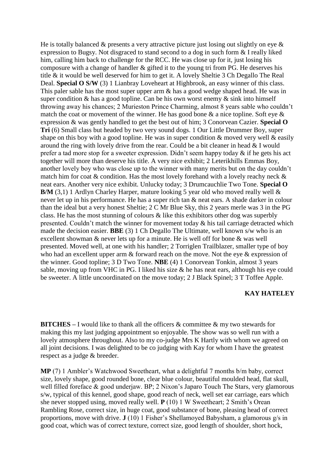He is totally balanced  $\&$  presents a very attractive picture just losing out slightly on eye  $\&$ expression to Bugsy. Not disgraced to stand second to a dog in such form & I really liked him, calling him back to challenge for the RCC. He was close up for it, just losing his composure with a change of handler & gifted it to the young tri from PG. He deserves his title & it would be well deserved for him to get it. A lovely Sheltie 3 Ch Degallo The Real Deal. **Special O S/W** (3) 1 Lianbray Loveheart at Highbrook, an easy winner of this class. This paler sable has the most super upper arm  $\&$  has a good wedge shaped head. He was in super condition  $\&$  has a good topline. Can be his own worst enemy  $\&$  sink into himself throwing away his chances; 2 Murieston Prince Charming, almost 8 years sable who couldn't match the coat or movement of the winner. He has good bone  $\&$  a nice topline. Soft eye  $\&$ expression & was gently handled to get the best out of him; 3 Conorvean Cazier. **Special O Tri** (6) Small class but headed by two very sound dogs. 1 Our Little Drummer Boy, super shape on this boy with a good topline. He was in super condition  $\&$  moved very well  $\&$  easily around the ring with lovely drive from the rear. Could be a bit cleaner in head & I would prefer a tad more stop for a sweeter expression. Didn't seem happy today & if he gets his act together will more than deserve his title. A very nice exhibit; 2 Leterikhills Emmas Boy, another lovely boy who was close up to the winner with many merits but on the day couldn't match him for coat  $\&$  condition. Has the most lovely forehand with a lovely reachy neck  $\&$ neat ears. Another very nice exhibit. Unlucky today; 3 Drumcauchlie Two Tone. **Special O B/M** (3,1) 1 Ardlyn Charley Harper, mature looking 5 year old who moved really well & never let up in his performance. He has a super rich tan & neat ears. A shade darker in colour than the ideal but a very honest Sheltie; 2 C Mr Blue Sky, this 2 years merle was 3 in the PG class. He has the most stunning of colours & like this exhibitors other dog was superbly presented. Couldn't match the winner for movement today & his tail carriage detracted which made the decision easier. **BBE** (3) 1 Ch Degallo The Ultimate, well known s/w who is an excellent showman & never lets up for a minute. He is well off for bone & was well presented. Moved well, at one with his handler; 2 Torriglen Trailblazer, smaller type of boy who had an excellent upper arm  $\&$  forward reach on the move. Not the eye  $\&$  expression of the winner. Good topline; 3 D Two Tone. **NBE** (4) 1 Conorvean Tonkin, almost 3 years sable, moving up from VHC in PG. I liked his size & he has neat ears, although his eye could be sweeter. A little uncoordinated on the move today; 2 J Black Spinel; 3 T Toffee Apple.

## **KAY HATELEY**

**BITCHES** – I would like to thank all the officers & committee & my two stewards for making this my last judging appointment so enjoyable. The show was so well run with a lovely atmosphere throughout. Also to my co-judge Mrs K Hartly with whom we agreed on all joint decisions. I was delighted to be co judging with Kay for whom I have the greatest respect as a judge & breeder.

**MP** (7) 1 Ambler's Watchwood Sweetheart, what a delightful 7 months b/m baby, correct size, lovely shape, good rounded bone, clear blue colour, beautiful moulded head, flat skull, well filled foreface & good underjaw. BP; 2 Nixon's Japaro Touch The Stars, very glamorous s/w, typical of this kennel, good shape, good reach of neck, well set ear carriage, ears which she never stopped using, moved really well. **P** (10) 1 W Sweetheart; 2 Smith's Orean Rambling Rose, correct size, in huge coat, good substance of bone, pleasing head of correct proportions, move with drive. **J** (10) 1 Fisher's Shellamoyed Babysham, a glamorous g/s in good coat, which was of correct texture, correct size, good length of shoulder, short hock,